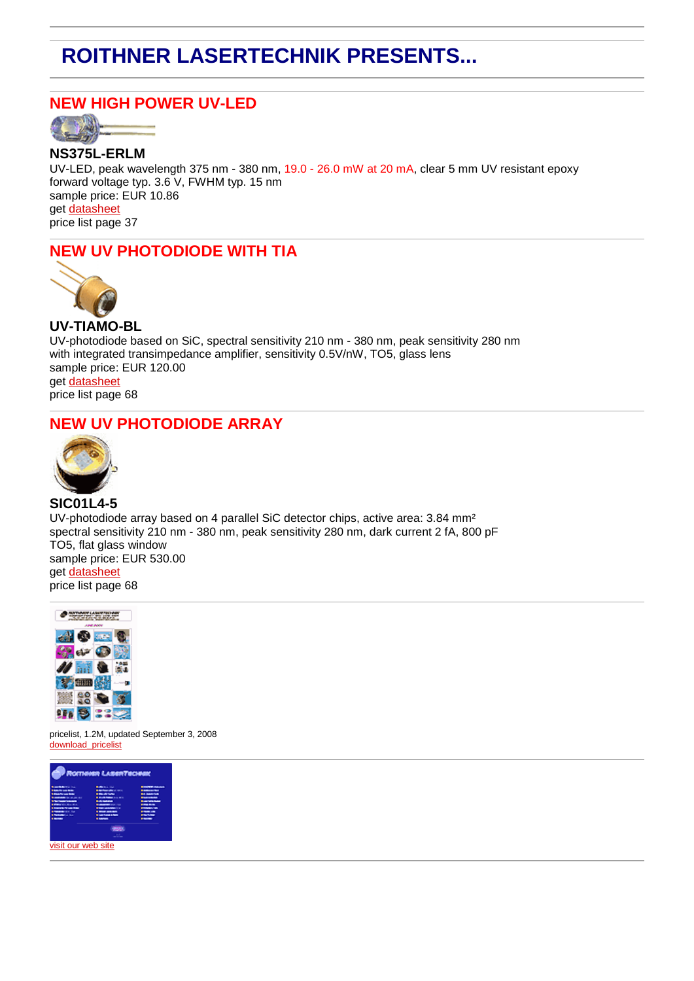# **ROITHNER LASERTECHNIK PRESENTS...**

## **NEW HIGH POWER UV-LED**



**NS375L-ERLM** UV-LED, peak wavelength 375 nm - 380 nm, 19.0 - 26.0 mW at 20 mA, clear 5 mm UV resistant epoxy forward voltage typ. 3.6 V, FWHM typ. 15 nm sample price: EUR 10.86 get [datasheet](http://roithner-laser.com/Newsletter_2008-09-16/NS375L-ERLM.pdf) price list page 37

# **NEW UV PHOTODIODE WITH TIA**



**UV-TIAMO-BL** UV-photodiode based on SiC, spectral sensitivity 210 nm - 380 nm, peak sensitivity 280 nm with integrated transimpedance amplifier, sensitivity 0.5V/nW, TO5, glass lens sample price: EUR 120.00 get [datasheet](http://roithner-laser.com/Newsletter_2008-09-16/UV-TIAMO-BL.pdf) price list page 68

## **NEW UV PHOTODIODE ARRAY**



**SIC01L4-5** UV-photodiode array based on 4 parallel SiC detector chips, active area: 3.84 mm² spectral sensitivity 210 nm - 380 nm, peak sensitivity 280 nm, dark current 2 fA, 800 pF TO5, flat glass window sample price: EUR 530.00 get [datasheet](http://roithner-laser.com/Newsletter_2008-09-16/SIC01L4-5_h.pdf) price list page 68



pricelist, 1.2M, updated September 3, 2008 download pricelist